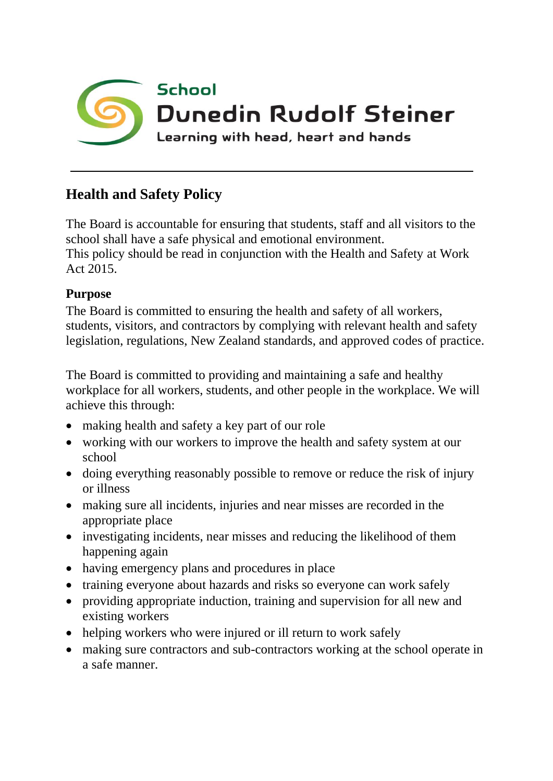

## **Health and Safety Policy**

The Board is accountable for ensuring that students, staff and all visitors to the school shall have a safe physical and emotional environment. This policy should be read in conjunction with the Health and Safety at Work Act 2015.

## **Purpose**

The Board is committed to ensuring the health and safety of all workers, students, visitors, and contractors by complying with relevant health and safety legislation, regulations, New Zealand standards, and approved codes of practice.

The Board is committed to providing and maintaining a safe and healthy workplace for all workers, students, and other people in the workplace. We will achieve this through:

- making health and safety a key part of our role
- working with our workers to improve the health and safety system at our school
- doing everything reasonably possible to remove or reduce the risk of injury or illness
- making sure all incidents, injuries and near misses are recorded in the appropriate place
- investigating incidents, near misses and reducing the likelihood of them happening again
- having emergency plans and procedures in place
- training everyone about hazards and risks so everyone can work safely
- providing appropriate induction, training and supervision for all new and existing workers
- helping workers who were injured or ill return to work safely
- making sure contractors and sub-contractors working at the school operate in a safe manner.